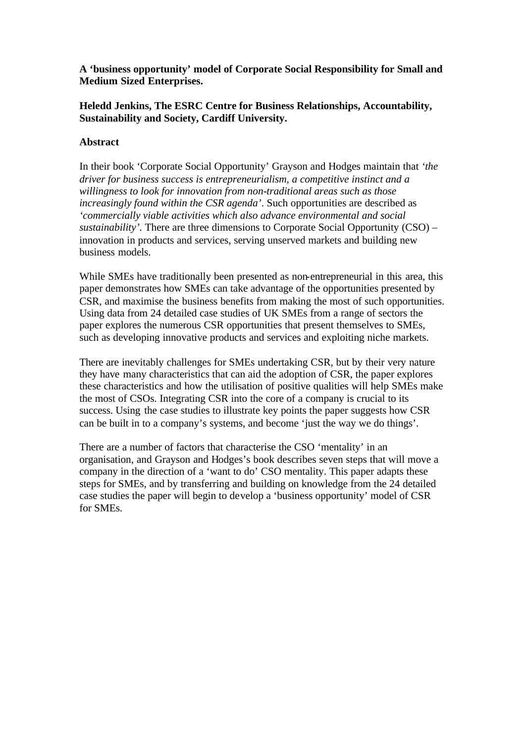**A 'business opportunity' model of Corporate Social Responsibility for Small and Medium Sized Enterprises.**

# **Heledd Jenkins, The ESRC Centre for Business Relationships, Accountability, Sustainability and Society, Cardiff University.**

# **Abstract**

In their book 'Corporate Social Opportunity' Grayson and Hodges maintain that *'the driver for business success is entrepreneurialism, a competitive instinct and a willingness to look for innovation from non-traditional areas such as those increasingly found within the CSR agenda'*. Such opportunities are described as *'commercially viable activities which also advance environmental and social sustainability'.* There are three dimensions to Corporate Social Opportunity (CSO) – innovation in products and services, serving unserved markets and building new business models.

While SMEs have traditionally been presented as non-entrepreneurial in this area, this paper demonstrates how SMEs can take advantage of the opportunities presented by CSR, and maximise the business benefits from making the most of such opportunities. Using data from 24 detailed case studies of UK SMEs from a range of sectors the paper explores the numerous CSR opportunities that present themselves to SMEs, such as developing innovative products and services and exploiting niche markets.

There are inevitably challenges for SMEs undertaking CSR, but by their very nature they have many characteristics that can aid the adoption of CSR, the paper explores these characteristics and how the utilisation of positive qualities will help SMEs make the most of CSOs. Integrating CSR into the core of a company is crucial to its success. Using the case studies to illustrate key points the paper suggests how CSR can be built in to a company's systems, and become 'just the way we do things'.

There are a number of factors that characterise the CSO 'mentality' in an organisation, and Grayson and Hodges's book describes seven steps that will move a company in the direction of a 'want to do' CSO mentality. This paper adapts these steps for SMEs, and by transferring and building on knowledge from the 24 detailed case studies the paper will begin to develop a 'business opportunity' model of CSR for SMEs.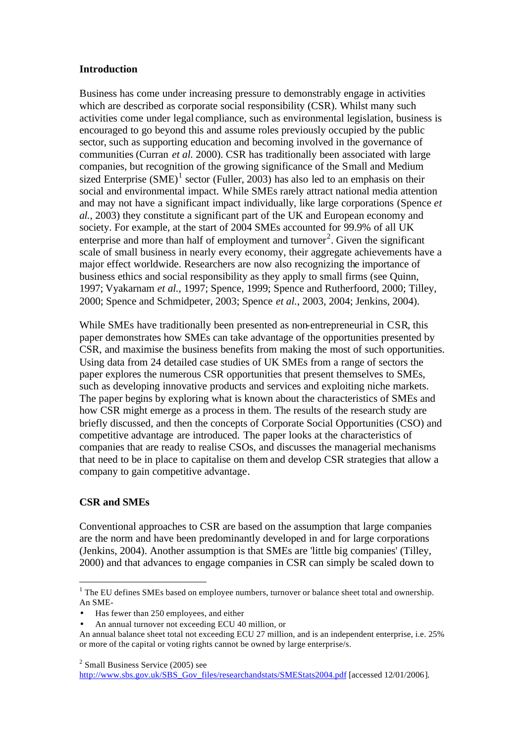#### **Introduction**

Business has come under increasing pressure to demonstrably engage in activities which are described as corporate social responsibility (CSR). Whilst many such activities come under legal compliance, such as environmental legislation, business is encouraged to go beyond this and assume roles previously occupied by the public sector, such as supporting education and becoming involved in the governance of communities (Curran *et al.* 2000). CSR has traditionally been associated with large companies, but recognition of the growing significance of the Small and Medium sized Enterprise  $(SME)^1$  sector (Fuller, 2003) has also led to an emphasis on their social and environmental impact. While SMEs rarely attract national media attention and may not have a significant impact individually, like large corporations (Spence *et al.*, 2003) they constitute a significant part of the UK and European economy and society. For example, at the start of 2004 SMEs accounted for 99.9% of all UK enterprise and more than half of employment and turnover<sup>2</sup>. Given the significant scale of small business in nearly every economy, their aggregate achievements have a major effect worldwide. Researchers are now also recognizing the importance of business ethics and social responsibility as they apply to small firms (see Quinn, 1997; Vyakarnam *et al.*, 1997; Spence, 1999; Spence and Rutherfoord, 2000; Tilley, 2000; Spence and Schmidpeter, 2003; Spence *et al.*, 2003, 2004; Jenkins, 2004).

While SMEs have traditionally been presented as non-entrepreneurial in CSR, this paper demonstrates how SMEs can take advantage of the opportunities presented by CSR, and maximise the business benefits from making the most of such opportunities. Using data from 24 detailed case studies of UK SMEs from a range of sectors the paper explores the numerous CSR opportunities that present themselves to SMEs, such as developing innovative products and services and exploiting niche markets. The paper begins by exploring what is known about the characteristics of SMEs and how CSR might emerge as a process in them. The results of the research study are briefly discussed, and then the concepts of Corporate Social Opportunities (CSO) and competitive advantage are introduced. The paper looks at the characteristics of companies that are ready to realise CSOs, and discusses the managerial mechanisms that need to be in place to capitalise on them and develop CSR strategies that allow a company to gain competitive advantage.

#### **CSR and SMEs**

l

Conventional approaches to CSR are based on the assumption that large companies are the norm and have been predominantly developed in and for large corporations (Jenkins, 2004). Another assumption is that SMEs are 'little big companies' (Tilley, 2000) and that advances to engage companies in CSR can simply be scaled down to

<sup>2</sup> Small Business Service (2005) see

 $<sup>1</sup>$  The EU defines SMEs based on employee numbers, turnover or balance sheet total and ownership.</sup> An SME-

Has fewer than 250 employees, and either

<sup>•</sup> An annual turnover not exceeding ECU 40 million, or

An annual balance sheet total not exceeding ECU 27 million, and is an independent enterprise, i.e. 25% or more of the capital or voting rights cannot be owned by large enterprise/s.

http://www.sbs.gov.uk/SBS\_Gov\_files/researchandstats/SMEStats2004.pdf [accessed 12/01/2006].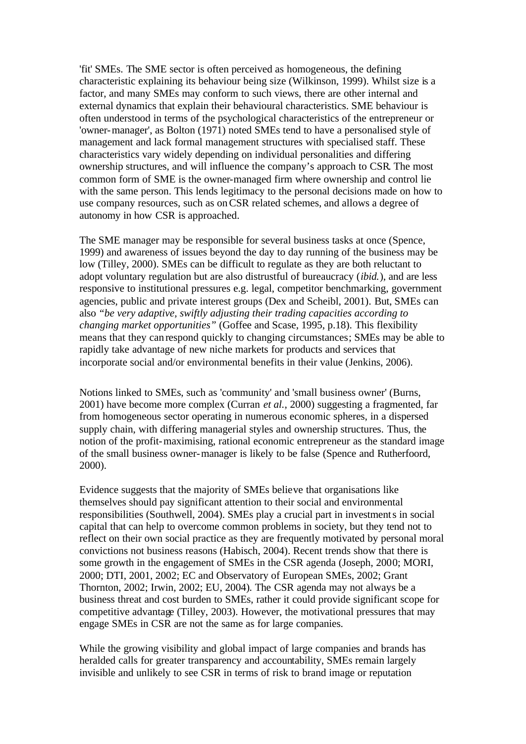'fit' SMEs. The SME sector is often perceived as homogeneous, the defining characteristic explaining its behaviour being size (Wilkinson, 1999). Whilst size is a factor, and many SMEs may conform to such views, there are other internal and external dynamics that explain their behavioural characteristics. SME behaviour is often understood in terms of the psychological characteristics of the entrepreneur or 'owner-manager', as Bolton (1971) noted SMEs tend to have a personalised style of management and lack formal management structures with specialised staff. These characteristics vary widely depending on individual personalities and differing ownership structures, and will influence the company's approach to CSR. The most common form of SME is the owner-managed firm where ownership and control lie with the same person. This lends legitimacy to the personal decisions made on how to use company resources, such as on CSR related schemes, and allows a degree of autonomy in how CSR is approached.

The SME manager may be responsible for several business tasks at once (Spence, 1999) and awareness of issues beyond the day to day running of the business may be low (Tilley, 2000). SMEs can be difficult to regulate as they are both reluctant to adopt voluntary regulation but are also distrustful of bureaucracy (*ibid.*), and are less responsive to institutional pressures e.g. legal, competitor benchmarking, government agencies, public and private interest groups (Dex and Scheibl, 2001). But, SMEs can also *"be very adaptive, swiftly adjusting their trading capacities according to changing market opportunities"* (Goffee and Scase, 1995, p.18). This flexibility means that they can respond quickly to changing circumstances; SMEs may be able to rapidly take advantage of new niche markets for products and services that incorporate social and/or environmental benefits in their value (Jenkins, 2006).

Notions linked to SMEs, such as 'community' and 'small business owner' (Burns, 2001) have become more complex (Curran *et al.*, 2000) suggesting a fragmented, far from homogeneous sector operating in numerous economic spheres, in a dispersed supply chain, with differing managerial styles and ownership structures. Thus, the notion of the profit-maximising, rational economic entrepreneur as the standard image of the small business owner-manager is likely to be false (Spence and Rutherfoord, 2000).

Evidence suggests that the majority of SMEs believe that organisations like themselves should pay significant attention to their social and environmental responsibilities (Southwell, 2004). SMEs play a crucial part in investments in social capital that can help to overcome common problems in society, but they tend not to reflect on their own social practice as they are frequently motivated by personal moral convictions not business reasons (Habisch, 2004). Recent trends show that there is some growth in the engagement of SMEs in the CSR agenda (Joseph, 2000; MORI, 2000; DTI, 2001, 2002; EC and Observatory of European SMEs, 2002; Grant Thornton, 2002; Irwin, 2002; EU, 2004). The CSR agenda may not always be a business threat and cost burden to SMEs, rather it could provide significant scope for competitive advantage (Tilley, 2003). However, the motivational pressures that may engage SMEs in CSR are not the same as for large companies.

While the growing visibility and global impact of large companies and brands has heralded calls for greater transparency and accountability, SMEs remain largely invisible and unlikely to see CSR in terms of risk to brand image or reputation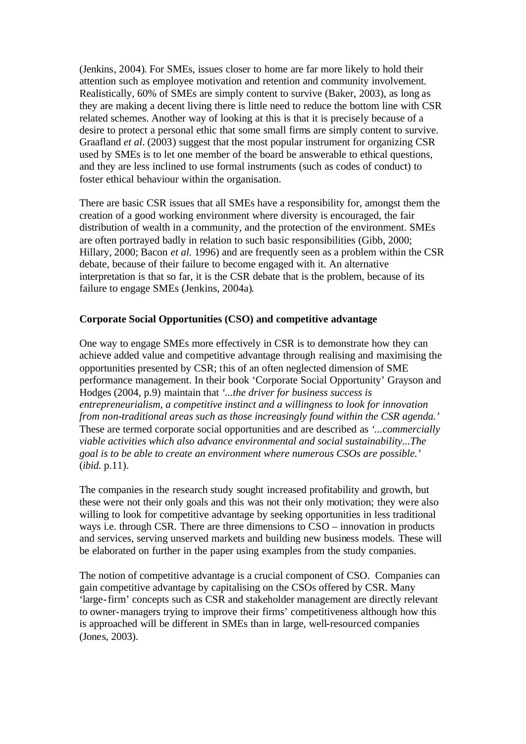(Jenkins, 2004). For SMEs, issues closer to home are far more likely to hold their attention such as employee motivation and retention and community involvement. Realistically, 60% of SMEs are simply content to survive (Baker, 2003), as long as they are making a decent living there is little need to reduce the bottom line with CSR related schemes. Another way of looking at this is that it is precisely because of a desire to protect a personal ethic that some small firms are simply content to survive. Graafland *et al*. (2003) suggest that the most popular instrument for organizing CSR used by SMEs is to let one member of the board be answerable to ethical questions, and they are less inclined to use formal instruments (such as codes of conduct) to foster ethical behaviour within the organisation.

There are basic CSR issues that all SMEs have a responsibility for, amongst them the creation of a good working environment where diversity is encouraged, the fair distribution of wealth in a community, and the protection of the environment. SMEs are often portrayed badly in relation to such basic responsibilities (Gibb, 2000; Hillary, 2000; Bacon *et al.* 1996) and are frequently seen as a problem within the CSR debate, because of their failure to become engaged with it. An alternative interpretation is that so far, it is the CSR debate that is the problem, because of its failure to engage SMEs (Jenkins, 2004a).

## **Corporate Social Opportunities (CSO) and competitive advantage**

One way to engage SMEs more effectively in CSR is to demonstrate how they can achieve added value and competitive advantage through realising and maximising the opportunities presented by CSR; this of an often neglected dimension of SME performance management. In their book 'Corporate Social Opportunity' Grayson and Hodges (2004, p.9) maintain that *'...the driver for business success is entrepreneurialism, a competitive instinct and a willingness to look for innovation from non-traditional areas such as those increasingly found within the CSR agenda.'* These are termed corporate social opportunities and are described as *'...commercially viable activities which also advance environmental and social sustainability...The goal is to be able to create an environment where numerous CSOs are possible.'*  (*ibid.* p.11).

The companies in the research study sought increased profitability and growth, but these were not their only goals and this was not their only motivation; they were also willing to look for competitive advantage by seeking opportunities in less traditional ways i.e. through CSR. There are three dimensions to CSO – innovation in products and services, serving unserved markets and building new business models. These will be elaborated on further in the paper using examples from the study companies.

The notion of competitive advantage is a crucial component of CSO. Companies can gain competitive advantage by capitalising on the CSOs offered by CSR. Many 'large-firm' concepts such as CSR and stakeholder management are directly relevant to owner-managers trying to improve their firms' competitiveness although how this is approached will be different in SMEs than in large, well-resourced companies (Jones, 2003).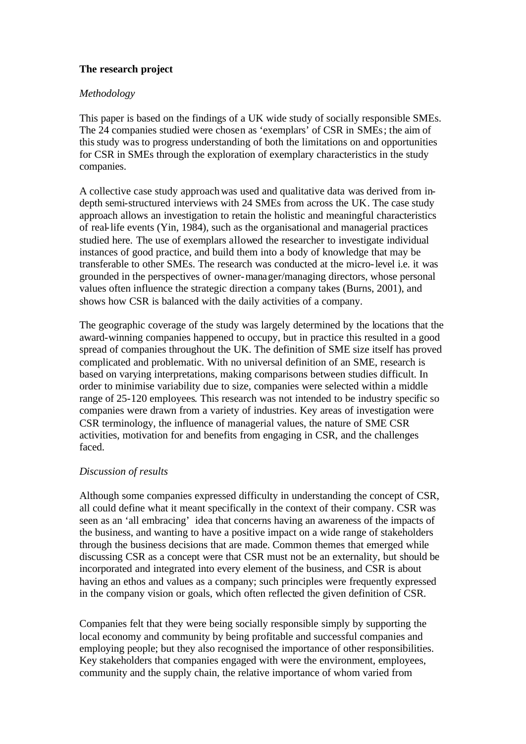# **The research project**

## *Methodology*

This paper is based on the findings of a UK wide study of socially responsible SMEs. The 24 companies studied were chosen as 'exemplars' of CSR in SMEs; the aim of this study was to progress understanding of both the limitations on and opportunities for CSR in SMEs through the exploration of exemplary characteristics in the study companies.

A collective case study approachwas used and qualitative data was derived from indepth semi-structured interviews with 24 SMEs from across the UK. The case study approach allows an investigation to retain the holistic and meaningful characteristics of real-life events (Yin, 1984), such as the organisational and managerial practices studied here. The use of exemplars allowed the researcher to investigate individual instances of good practice, and build them into a body of knowledge that may be transferable to other SMEs. The research was conducted at the micro-level i.e. it was grounded in the perspectives of owner-manager/managing directors, whose personal values often influence the strategic direction a company takes (Burns, 2001), and shows how CSR is balanced with the daily activities of a company.

The geographic coverage of the study was largely determined by the locations that the award-winning companies happened to occupy, but in practice this resulted in a good spread of companies throughout the UK. The definition of SME size itself has proved complicated and problematic. With no universal definition of an SME, research is based on varying interpretations, making comparisons between studies difficult. In order to minimise variability due to size, companies were selected within a middle range of 25-120 employees. This research was not intended to be industry specific so companies were drawn from a variety of industries. Key areas of investigation were CSR terminology, the influence of managerial values, the nature of SME CSR activities, motivation for and benefits from engaging in CSR, and the challenges faced.

#### *Discussion of results*

Although some companies expressed difficulty in understanding the concept of CSR, all could define what it meant specifically in the context of their company. CSR was seen as an 'all embracing' idea that concerns having an awareness of the impacts of the business, and wanting to have a positive impact on a wide range of stakeholders through the business decisions that are made. Common themes that emerged while discussing CSR as a concept were that CSR must not be an externality, but should be incorporated and integrated into every element of the business, and CSR is about having an ethos and values as a company; such principles were frequently expressed in the company vision or goals, which often reflected the given definition of CSR.

Companies felt that they were being socially responsible simply by supporting the local economy and community by being profitable and successful companies and employing people; but they also recognised the importance of other responsibilities. Key stakeholders that companies engaged with were the environment, employees, community and the supply chain, the relative importance of whom varied from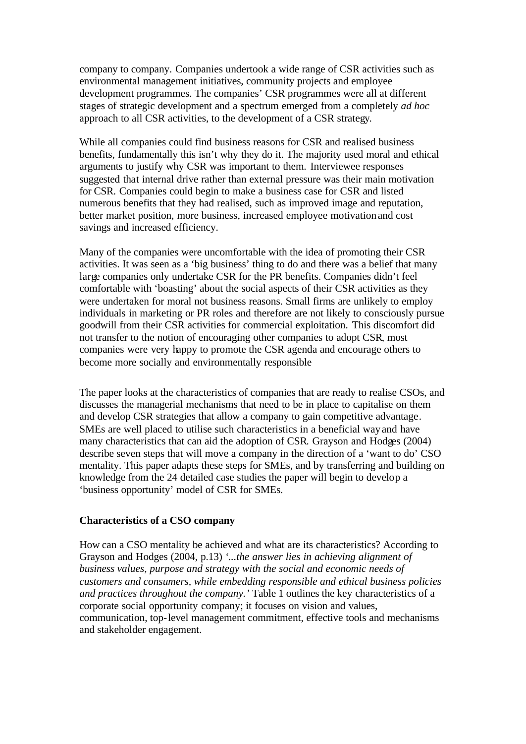company to company. Companies undertook a wide range of CSR activities such as environmental management initiatives, community projects and employee development programmes. The companies' CSR programmes were all at different stages of strategic development and a spectrum emerged from a completely *ad hoc*  approach to all CSR activities, to the development of a CSR strategy.

While all companies could find business reasons for CSR and realised business benefits, fundamentally this isn't why they do it. The majority used moral and ethical arguments to justify why CSR was important to them. Interviewee responses suggested that internal drive rather than external pressure was their main motivation for CSR. Companies could begin to make a business case for CSR and listed numerous benefits that they had realised, such as improved image and reputation, better market position, more business, increased employee motivation and cost savings and increased efficiency.

Many of the companies were uncomfortable with the idea of promoting their CSR activities. It was seen as a 'big business' thing to do and there was a belief that many large companies only undertake CSR for the PR benefits. Companies didn't feel comfortable with 'boasting' about the social aspects of their CSR activities as they were undertaken for moral not business reasons. Small firms are unlikely to employ individuals in marketing or PR roles and therefore are not likely to consciously pursue goodwill from their CSR activities for commercial exploitation. This discomfort did not transfer to the notion of encouraging other companies to adopt CSR, most companies were very happy to promote the CSR agenda and encourage others to become more socially and environmentally responsible

The paper looks at the characteristics of companies that are ready to realise CSOs, and discusses the managerial mechanisms that need to be in place to capitalise on them and develop CSR strategies that allow a company to gain competitive advantage. SMEs are well placed to utilise such characteristics in a beneficial way and have many characteristics that can aid the adoption of CSR. Grayson and Hodges (2004) describe seven steps that will move a company in the direction of a 'want to do' CSO mentality. This paper adapts these steps for SMEs, and by transferring and building on knowledge from the 24 detailed case studies the paper will begin to develop a 'business opportunity' model of CSR for SMEs.

#### **Characteristics of a CSO company**

How can a CSO mentality be achieved and what are its characteristics? According to Grayson and Hodges (2004, p.13) *'...the answer lies in achieving alignment of business values, purpose and strategy with the social and economic needs of customers and consumers, while embedding responsible and ethical business policies and practices throughout the company.'* Table 1 outlines the key characteristics of a corporate social opportunity company; it focuses on vision and values, communication, top-level management commitment, effective tools and mechanisms and stakeholder engagement.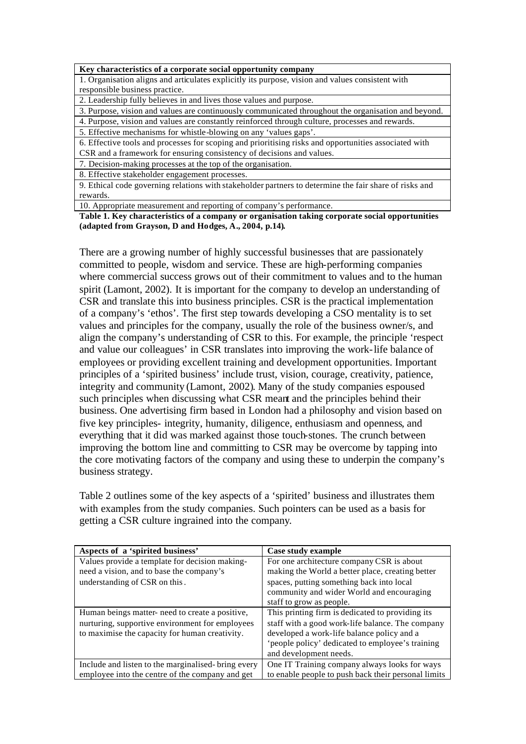#### **Key characteristics of a corporate social opportunity company**

1. Organisation aligns and articulates explicitly its purpose, vision and values consistent with responsible business practice.

2. Leadership fully believes in and lives those values and purpose.

3. Purpose, vision and values are continuously communicated throughout the organisation and beyond.

4. Purpose, vision and values are constantly reinforced through culture, processes and rewards.

5. Effective mechanisms for whistle-blowing on any 'values gaps'.

6. Effective tools and processes for scoping and prioritising risks and opportunities associated with

CSR and a framework for ensuring consistency of decisions and values. 7. Decision-making processes at the top of the organisation.

8. Effective stakeholder engagement processes.

9. Ethical code governing relations with stakeholder partners to determine the fair share of risks and rewards.

10. Appropriate measurement and reporting of company's performance.

**Table 1. Key characteristics of a company or organisation taking corporate social opportunities (adapted from Grayson, D and Hodges, A., 2004, p.14).**

There are a growing number of highly successful businesses that are passionately committed to people, wisdom and service. These are high-performing companies where commercial success grows out of their commitment to values and to the human spirit (Lamont, 2002). It is important for the company to develop an understanding of CSR and translate this into business principles. CSR is the practical implementation of a company's 'ethos'. The first step towards developing a CSO mentality is to set values and principles for the company, usually the role of the business owner/s, and align the company's understanding of CSR to this. For example, the principle 'respect and value our colleagues' in CSR translates into improving the work-life balance of employees or providing excellent training and development opportunities. Important principles of a 'spirited business' include trust, vision, courage, creativity, patience, integrity and community (Lamont, 2002). Many of the study companies espoused such principles when discussing what CSR meant and the principles behind their business. One advertising firm based in London had a philosophy and vision based on five key principles- integrity, humanity, diligence, enthusiasm and openness, and everything that it did was marked against those touch-stones. The crunch between improving the bottom line and committing to CSR may be overcome by tapping into the core motivating factors of the company and using these to underpin the company's business strategy.

Table 2 outlines some of the key aspects of a 'spirited' business and illustrates them with examples from the study companies. Such pointers can be used as a basis for getting a CSR culture ingrained into the company.

| Aspects of a 'spirited business'                   | Case study example                                  |
|----------------------------------------------------|-----------------------------------------------------|
| Values provide a template for decision making-     | For one architecture company CSR is about           |
| need a vision, and to base the company's           | making the World a better place, creating better    |
| understanding of CSR on this.                      | spaces, putting something back into local           |
|                                                    | community and wider World and encouraging           |
|                                                    | staff to grow as people.                            |
| Human beings matter- need to create a positive,    | This printing firm is dedicated to providing its    |
| nurturing, supportive environment for employees    | staff with a good work-life balance. The company    |
| to maximise the capacity for human creativity.     | developed a work-life balance policy and a          |
|                                                    | 'people policy' dedicated to employee's training    |
|                                                    | and development needs.                              |
| Include and listen to the marginalised-bring every | One IT Training company always looks for ways       |
| employee into the centre of the company and get    | to enable people to push back their personal limits |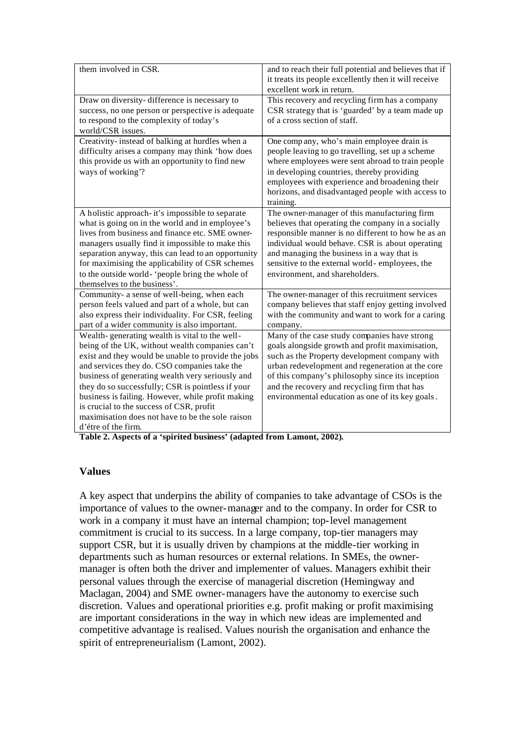| them involved in CSR.                                                                                                                                                                                                                                                                                                                                                                                                                                                                        | and to reach their full potential and believes that if<br>it treats its people excellently then it will receive<br>excellent work in return.                                                                                                                                                                                                                 |
|----------------------------------------------------------------------------------------------------------------------------------------------------------------------------------------------------------------------------------------------------------------------------------------------------------------------------------------------------------------------------------------------------------------------------------------------------------------------------------------------|--------------------------------------------------------------------------------------------------------------------------------------------------------------------------------------------------------------------------------------------------------------------------------------------------------------------------------------------------------------|
| Draw on diversity-difference is necessary to<br>success, no one person or perspective is adequate<br>to respond to the complexity of today's<br>world/CSR issues.                                                                                                                                                                                                                                                                                                                            | This recovery and recycling firm has a company<br>CSR strategy that is 'guarded' by a team made up<br>of a cross section of staff.                                                                                                                                                                                                                           |
| Creativity- instead of balking at hurdles when a<br>difficulty arises a company may think 'how does<br>this provide us with an opportunity to find new<br>ways of working'?                                                                                                                                                                                                                                                                                                                  | One company, who's main employee drain is<br>people leaving to go travelling, set up a scheme<br>where employees were sent abroad to train people<br>in developing countries, thereby providing<br>employees with experience and broadening their<br>horizons, and disadvantaged people with access to<br>training.                                          |
| A holistic approach-it's impossible to separate<br>what is going on in the world and in employee's<br>lives from business and finance etc. SME owner-<br>managers usually find it impossible to make this<br>separation anyway, this can lead to an opportunity<br>for maximising the applicability of CSR schemes<br>to the outside world-'people bring the whole of<br>themselves to the business'.                                                                                        | The owner-manager of this manufacturing firm<br>believes that operating the company in a socially<br>responsible manner is no different to how he as an<br>individual would behave. CSR is about operating<br>and managing the business in a way that is<br>sensitive to the external world-employees, the<br>environment, and shareholders.                 |
| Community- a sense of well-being, when each<br>person feels valued and part of a whole, but can<br>also express their individuality. For CSR, feeling<br>part of a wider community is also important.                                                                                                                                                                                                                                                                                        | The owner-manager of this recruitment services<br>company believes that staff enjoy getting involved<br>with the community and want to work for a caring<br>company.                                                                                                                                                                                         |
| Wealth-generating wealth is vital to the well-<br>being of the UK, without wealth companies can't<br>exist and they would be unable to provide the jobs<br>and services they do. CSO companies take the<br>business of generating wealth very seriously and<br>they do so successfully; CSR is pointless if your<br>business is failing. However, while profit making<br>is crucial to the success of CSR, profit<br>maximisation does not have to be the sole raison<br>d'étre of the firm. | Many of the case study companies have strong<br>goals alongside growth and profit maximisation,<br>such as the Property development company with<br>urban redevelopment and regeneration at the core<br>of this company's philosophy since its inception<br>and the recovery and recycling firm that has<br>environmental education as one of its key goals. |

**Table 2. Aspects of a 'spirited business' (adapted from Lamont, 2002).**

#### **Values**

A key aspect that underpins the ability of companies to take advantage of CSOs is the importance of values to the owner-manager and to the company. In order for CSR to work in a company it must have an internal champion; top-level management commitment is crucial to its success. In a large company, top-tier managers may support CSR, but it is usually driven by champions at the middle-tier working in departments such as human resources or external relations. In SMEs, the ownermanager is often both the driver and implementer of values. Managers exhibit their personal values through the exercise of managerial discretion (Hemingway and Maclagan, 2004) and SME owner-managers have the autonomy to exercise such discretion. Values and operational priorities e.g. profit making or profit maximising are important considerations in the way in which new ideas are implemented and competitive advantage is realised. Values nourish the organisation and enhance the spirit of entrepreneurialism (Lamont, 2002).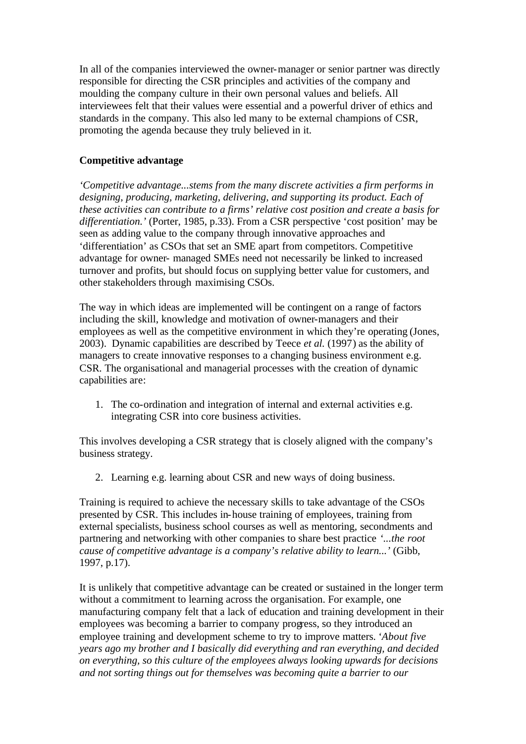In all of the companies interviewed the owner-manager or senior partner was directly responsible for directing the CSR principles and activities of the company and moulding the company culture in their own personal values and beliefs. All interviewees felt that their values were essential and a powerful driver of ethics and standards in the company. This also led many to be external champions of CSR, promoting the agenda because they truly believed in it.

## **Competitive advantage**

*'Competitive advantage...stems from the many discrete activities a firm performs in designing, producing, marketing, delivering, and supporting its product. Each of these activities can contribute to a firms' relative cost position and create a basis for differentiation.'* (Porter, 1985, p.33). From a CSR perspective 'cost position' may be seen as adding value to the company through innovative approaches and 'differentiation' as CSOs that set an SME apart from competitors. Competitive advantage for owner- managed SMEs need not necessarily be linked to increased turnover and profits, but should focus on supplying better value for customers, and other stakeholders through maximising CSOs.

The way in which ideas are implemented will be contingent on a range of factors including the skill, knowledge and motivation of owner-managers and their employees as well as the competitive environment in which they're operating (Jones, 2003). Dynamic capabilities are described by Teece *et al.* (1997) as the ability of managers to create innovative responses to a changing business environment e.g. CSR. The organisational and managerial processes with the creation of dynamic capabilities are:

1. The co-ordination and integration of internal and external activities e.g. integrating CSR into core business activities.

This involves developing a CSR strategy that is closely aligned with the company's business strategy.

2. Learning e.g. learning about CSR and new ways of doing business.

Training is required to achieve the necessary skills to take advantage of the CSOs presented by CSR. This includes in-house training of employees, training from external specialists, business school courses as well as mentoring, secondments and partnering and networking with other companies to share best practice *'...the root cause of competitive advantage is a company's relative ability to learn...'* (Gibb, 1997, p.17).

It is unlikely that competitive advantage can be created or sustained in the longer term without a commitment to learning across the organisation. For example, one manufacturing company felt that a lack of education and training development in their employees was becoming a barrier to company progress, so they introduced an employee training and development scheme to try to improve matters. '*About five years ago my brother and I basically did everything and ran everything, and decided on everything, so this culture of the employees always looking upwards for decisions and not sorting things out for themselves was becoming quite a barrier to our*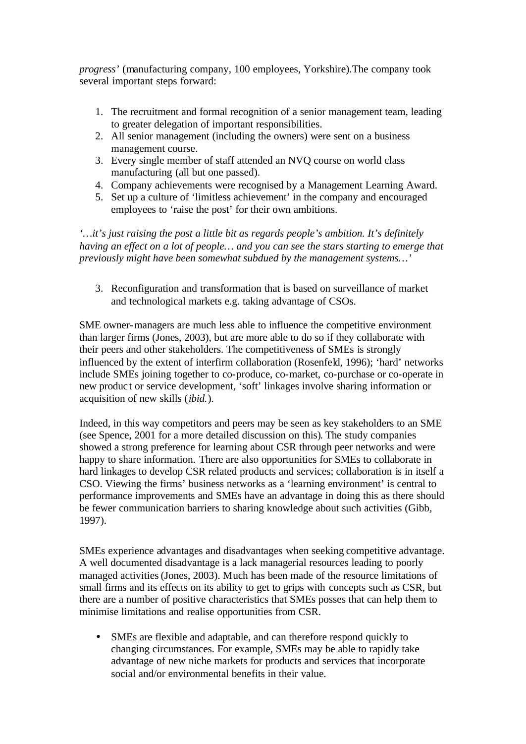*progress'* (manufacturing company, 100 employees, Yorkshire).The company took several important steps forward:

- 1. The recruitment and formal recognition of a senior management team, leading to greater delegation of important responsibilities.
- 2. All senior management (including the owners) were sent on a business management course.
- 3. Every single member of staff attended an NVQ course on world class manufacturing (all but one passed).
- 4. Company achievements were recognised by a Management Learning Award.
- 5. Set up a culture of 'limitless achievement' in the company and encouraged employees to 'raise the post' for their own ambitions.

*'…it's just raising the post a little bit as regards people's ambition. It's definitely having an effect on a lot of people… and you can see the stars starting to emerge that previously might have been somewhat subdued by the management systems…'*

3. Reconfiguration and transformation that is based on surveillance of market and technological markets e.g. taking advantage of CSOs.

SME owner-managers are much less able to influence the competitive environment than larger firms (Jones, 2003), but are more able to do so if they collaborate with their peers and other stakeholders. The competitiveness of SMEs is strongly influenced by the extent of interfirm collaboration (Rosenfeld, 1996); 'hard' networks include SMEs joining together to co-produce, co-market, co-purchase or co-operate in new product or service development, 'soft' linkages involve sharing information or acquisition of new skills (*ibid.*).

Indeed, in this way competitors and peers may be seen as key stakeholders to an SME (see Spence, 2001 for a more detailed discussion on this). The study companies showed a strong preference for learning about CSR through peer networks and were happy to share information. There are also opportunities for SMEs to collaborate in hard linkages to develop CSR related products and services; collaboration is in itself a CSO. Viewing the firms' business networks as a 'learning environment' is central to performance improvements and SMEs have an advantage in doing this as there should be fewer communication barriers to sharing knowledge about such activities (Gibb, 1997).

SMEs experience advantages and disadvantages when seeking competitive advantage. A well documented disadvantage is a lack managerial resources leading to poorly managed activities (Jones, 2003). Much has been made of the resource limitations of small firms and its effects on its ability to get to grips with concepts such as CSR, but there are a number of positive characteristics that SMEs posses that can help them to minimise limitations and realise opportunities from CSR.

• SMEs are flexible and adaptable, and can therefore respond quickly to changing circumstances. For example, SMEs may be able to rapidly take advantage of new niche markets for products and services that incorporate social and/or environmental benefits in their value.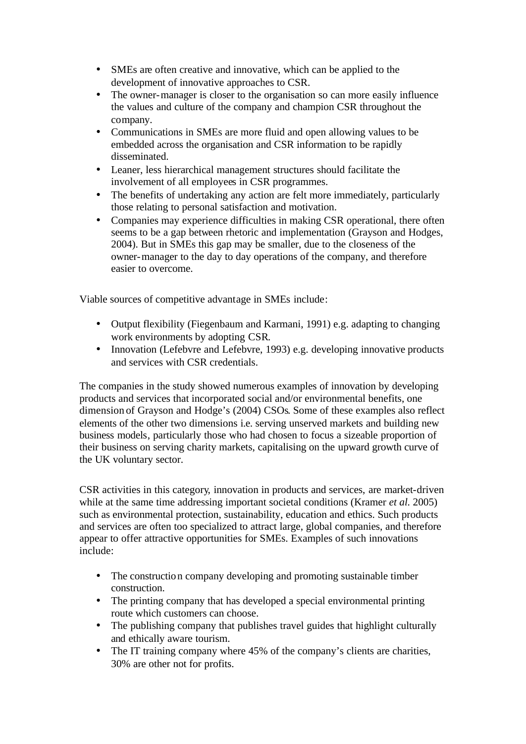- SMEs are often creative and innovative, which can be applied to the development of innovative approaches to CSR.
- The owner-manager is closer to the organisation so can more easily influence the values and culture of the company and champion CSR throughout the company.
- Communications in SMEs are more fluid and open allowing values to be embedded across the organisation and CSR information to be rapidly disseminated.
- Leaner, less hierarchical management structures should facilitate the involvement of all employees in CSR programmes.
- The benefits of undertaking any action are felt more immediately, particularly those relating to personal satisfaction and motivation.
- Companies may experience difficulties in making CSR operational, there often seems to be a gap between rhetoric and implementation (Grayson and Hodges, 2004). But in SMEs this gap may be smaller, due to the closeness of the owner-manager to the day to day operations of the company, and therefore easier to overcome.

Viable sources of competitive advantage in SMEs include:

- Output flexibility (Fiegenbaum and Karmani, 1991) e.g. adapting to changing work environments by adopting CSR.
- Innovation (Lefebvre and Lefebvre, 1993) e.g. developing innovative products and services with CSR credentials.

The companies in the study showed numerous examples of innovation by developing products and services that incorporated social and/or environmental benefits, one dimension of Grayson and Hodge's (2004) CSOs. Some of these examples also reflect elements of the other two dimensions i.e. serving unserved markets and building new business models, particularly those who had chosen to focus a sizeable proportion of their business on serving charity markets, capitalising on the upward growth curve of the UK voluntary sector.

CSR activities in this category, innovation in products and services, are market-driven while at the same time addressing important societal conditions (Kramer *et al.* 2005) such as environmental protection, sustainability, education and ethics. Such products and services are often too specialized to attract large, global companies, and therefore appear to offer attractive opportunities for SMEs. Examples of such innovations include:

- The construction company developing and promoting sustainable timber construction.
- The printing company that has developed a special environmental printing route which customers can choose.
- The publishing company that publishes travel guides that highlight culturally and ethically aware tourism.
- The IT training company where 45% of the company's clients are charities, 30% are other not for profits.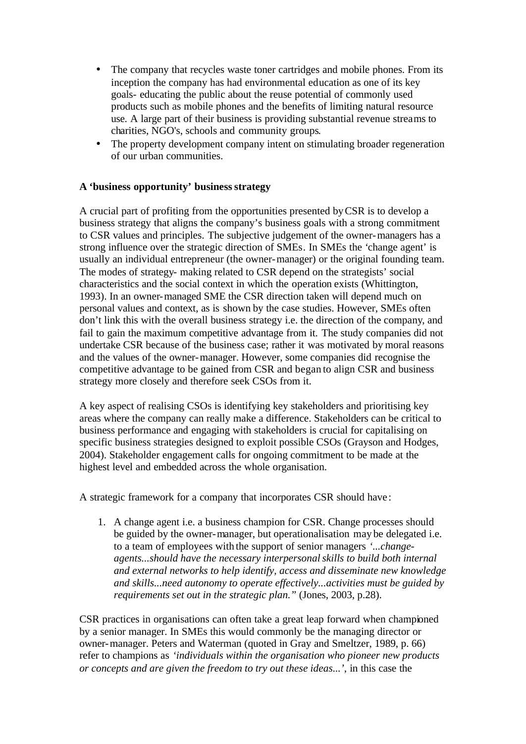- The company that recycles waste toner cartridges and mobile phones. From its inception the company has had environmental education as one of its key goals- educating the public about the reuse potential of commonly used products such as mobile phones and the benefits of limiting natural resource use. A large part of their business is providing substantial revenue streams to charities, NGO's, schools and community groups.
- The property development company intent on stimulating broader regeneration of our urban communities.

## **A 'business opportunity' business strategy**

A crucial part of profiting from the opportunities presented by CSR is to develop a business strategy that aligns the company's business goals with a strong commitment to CSR values and principles. The subjective judgement of the owner-managers has a strong influence over the strategic direction of SMEs. In SMEs the 'change agent' is usually an individual entrepreneur (the owner-manager) or the original founding team. The modes of strategy- making related to CSR depend on the strategists' social characteristics and the social context in which the operation exists (Whittington, 1993). In an owner-managed SME the CSR direction taken will depend much on personal values and context, as is shown by the case studies. However, SMEs often don't link this with the overall business strategy i.e. the direction of the company, and fail to gain the maximum competitive advantage from it. The study companies did not undertake CSR because of the business case; rather it was motivated by moral reasons and the values of the owner-manager. However, some companies did recognise the competitive advantage to be gained from CSR and began to align CSR and business strategy more closely and therefore seek CSOs from it.

A key aspect of realising CSOs is identifying key stakeholders and prioritising key areas where the company can really make a difference. Stakeholders can be critical to business performance and engaging with stakeholders is crucial for capitalising on specific business strategies designed to exploit possible CSOs (Grayson and Hodges, 2004). Stakeholder engagement calls for ongoing commitment to be made at the highest level and embedded across the whole organisation.

A strategic framework for a company that incorporates CSR should have :

1. A change agent i.e. a business champion for CSR. Change processes should be guided by the owner-manager, but operationalisation may be delegated i.e. to a team of employees with the support of senior managers *'...changeagents...should have the necessary interpersonal skills to build both internal and external networks to help identify, access and disseminate new knowledge and skills...need autonomy to operate effectively...activities must be guided by requirements set out in the strategic plan."* (Jones, 2003, p.28).

CSR practices in organisations can often take a great leap forward when championed by a senior manager. In SMEs this would commonly be the managing director or owner-manager. Peters and Waterman (quoted in Gray and Smeltzer, 1989, p. 66) refer to champions as *'individuals within the organisation who pioneer new products or concepts and are given the freedom to try out these ideas...'*, in this case the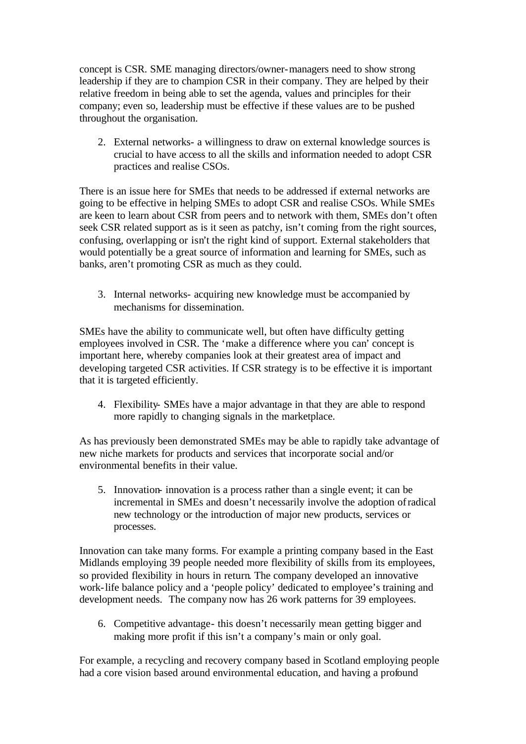concept is CSR. SME managing directors/owner-managers need to show strong leadership if they are to champion CSR in their company. They are helped by their relative freedom in being able to set the agenda, values and principles for their company; even so, leadership must be effective if these values are to be pushed throughout the organisation.

2. External networks- a willingness to draw on external knowledge sources is crucial to have access to all the skills and information needed to adopt CSR practices and realise CSOs.

There is an issue here for SMEs that needs to be addressed if external networks are going to be effective in helping SMEs to adopt CSR and realise CSOs. While SMEs are keen to learn about CSR from peers and to network with them, SMEs don't often seek CSR related support as is it seen as patchy, isn't coming from the right sources, confusing, overlapping or isn't the right kind of support. External stakeholders that would potentially be a great source of information and learning for SMEs, such as banks, aren't promoting CSR as much as they could.

3. Internal networks- acquiring new knowledge must be accompanied by mechanisms for dissemination.

SMEs have the ability to communicate well, but often have difficulty getting employees involved in CSR. The 'make a difference where you can' concept is important here, whereby companies look at their greatest area of impact and developing targeted CSR activities. If CSR strategy is to be effective it is important that it is targeted efficiently.

4. Flexibility- SMEs have a major advantage in that they are able to respond more rapidly to changing signals in the marketplace.

As has previously been demonstrated SMEs may be able to rapidly take advantage of new niche markets for products and services that incorporate social and/or environmental benefits in their value.

5. Innovation- innovation is a process rather than a single event; it can be incremental in SMEs and doesn't necessarily involve the adoption of radical new technology or the introduction of major new products, services or processes.

Innovation can take many forms. For example a printing company based in the East Midlands employing 39 people needed more flexibility of skills from its employees, so provided flexibility in hours in return. The company developed an innovative work-life balance policy and a 'people policy' dedicated to employee's training and development needs. The company now has 26 work patterns for 39 employees.

6. Competitive advantage- this doesn't necessarily mean getting bigger and making more profit if this isn't a company's main or only goal.

For example, a recycling and recovery company based in Scotland employing people had a core vision based around environmental education, and having a profound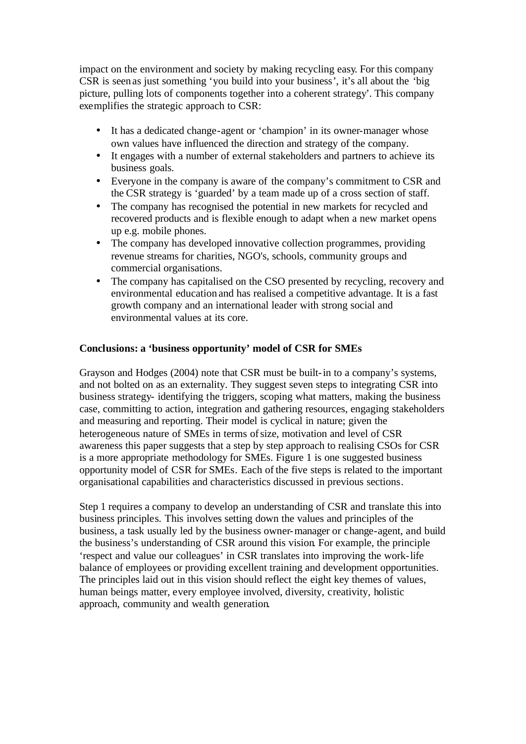impact on the environment and society by making recycling easy. For this company CSR is seen as just something 'you build into your business', it's all about the 'big picture, pulling lots of components together into a coherent strategy'. This company exemplifies the strategic approach to CSR:

- It has a dedicated change-agent or 'champion' in its owner-manager whose own values have influenced the direction and strategy of the company.
- It engages with a number of external stakeholders and partners to achieve its business goals.
- Everyone in the company is aware of the company's commitment to CSR and the CSR strategy is 'guarded' by a team made up of a cross section of staff.
- The company has recognised the potential in new markets for recycled and recovered products and is flexible enough to adapt when a new market opens up e.g. mobile phones.
- The company has developed innovative collection programmes, providing revenue streams for charities, NGO's, schools, community groups and commercial organisations.
- The company has capitalised on the CSO presented by recycling, recovery and environmental education and has realised a competitive advantage. It is a fast growth company and an international leader with strong social and environmental values at its core.

## **Conclusions: a 'business opportunity' model of CSR for SMEs**

Grayson and Hodges (2004) note that CSR must be built-in to a company's systems, and not bolted on as an externality. They suggest seven steps to integrating CSR into business strategy- identifying the triggers, scoping what matters, making the business case, committing to action, integration and gathering resources, engaging stakeholders and measuring and reporting. Their model is cyclical in nature; given the heterogeneous nature of SMEs in terms of size, motivation and level of CSR awareness this paper suggests that a step by step approach to realising CSOs for CSR is a more appropriate methodology for SMEs. Figure 1 is one suggested business opportunity model of CSR for SMEs. Each of the five steps is related to the important organisational capabilities and characteristics discussed in previous sections.

Step 1 requires a company to develop an understanding of CSR and translate this into business principles. This involves setting down the values and principles of the business, a task usually led by the business owner-manager or change-agent, and build the business's understanding of CSR around this vision. For example, the principle 'respect and value our colleagues' in CSR translates into improving the work-life balance of employees or providing excellent training and development opportunities. The principles laid out in this vision should reflect the eight key themes of values, human beings matter, every employee involved, diversity, creativity, holistic approach, community and wealth generation.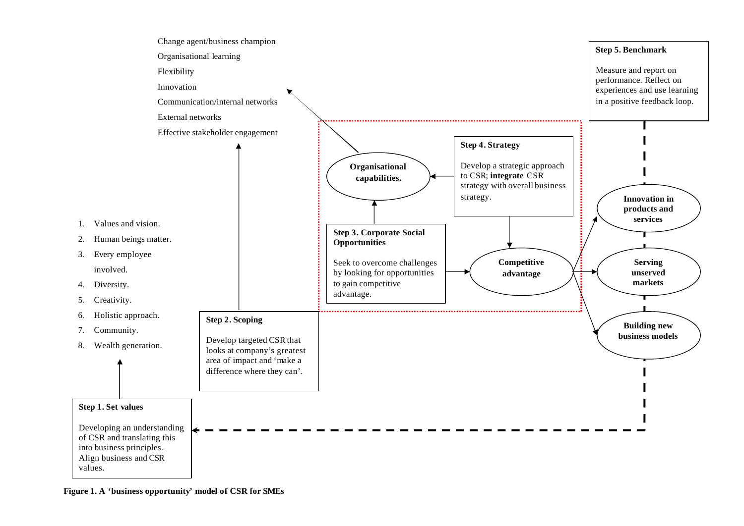

**Figure 1. A 'business opportunity' model of CSR for SMEs**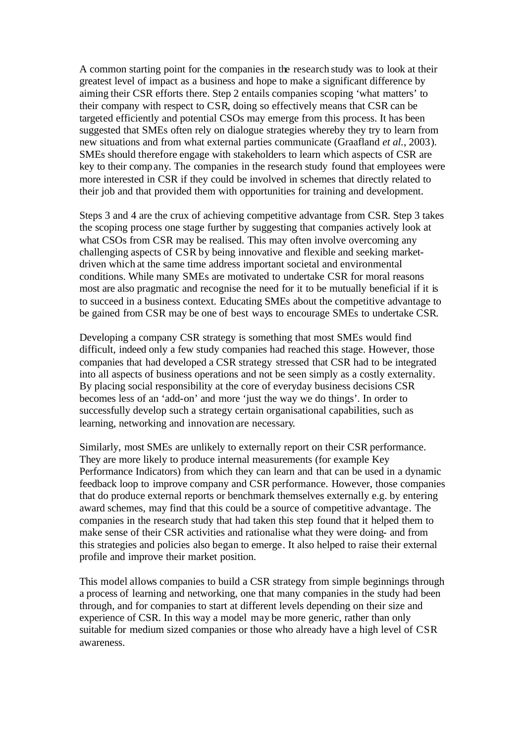A common starting point for the companies in the research study was to look at their greatest level of impact as a business and hope to make a significant difference by aiming their CSR efforts there. Step 2 entails companies scoping 'what matters' to their company with respect to CSR, doing so effectively means that CSR can be targeted efficiently and potential CSOs may emerge from this process. It has been suggested that SMEs often rely on dialogue strategies whereby they try to learn from new situations and from what external parties communicate (Graafland *et al.*, 2003). SMEs should therefore engage with stakeholders to learn which aspects of CSR are key to their company. The companies in the research study found that employees were more interested in CSR if they could be involved in schemes that directly related to their job and that provided them with opportunities for training and development.

Steps 3 and 4 are the crux of achieving competitive advantage from CSR. Step 3 takes the scoping process one stage further by suggesting that companies actively look at what CSOs from CSR may be realised. This may often involve overcoming any challenging aspects of CSR by being innovative and flexible and seeking marketdriven which at the same time address important societal and environmental conditions. While many SMEs are motivated to undertake CSR for moral reasons most are also pragmatic and recognise the need for it to be mutually beneficial if it is to succeed in a business context. Educating SMEs about the competitive advantage to be gained from CSR may be one of best ways to encourage SMEs to undertake CSR.

Developing a company CSR strategy is something that most SMEs would find difficult, indeed only a few study companies had reached this stage. However, those companies that had developed a CSR strategy stressed that CSR had to be integrated into all aspects of business operations and not be seen simply as a costly externality. By placing social responsibility at the core of everyday business decisions CSR becomes less of an 'add-on' and more 'just the way we do things'. In order to successfully develop such a strategy certain organisational capabilities, such as learning, networking and innovation are necessary.

Similarly, most SMEs are unlikely to externally report on their CSR performance. They are more likely to produce internal measurements (for example Key Performance Indicators) from which they can learn and that can be used in a dynamic feedback loop to improve company and CSR performance. However, those companies that do produce external reports or benchmark themselves externally e.g. by entering award schemes, may find that this could be a source of competitive advantage. The companies in the research study that had taken this step found that it helped them to make sense of their CSR activities and rationalise what they were doing- and from this strategies and policies also began to emerge. It also helped to raise their external profile and improve their market position.

This model allows companies to build a CSR strategy from simple beginnings through a process of learning and networking, one that many companies in the study had been through, and for companies to start at different levels depending on their size and experience of CSR. In this way a model may be more generic, rather than only suitable for medium sized companies or those who already have a high level of CSR awareness.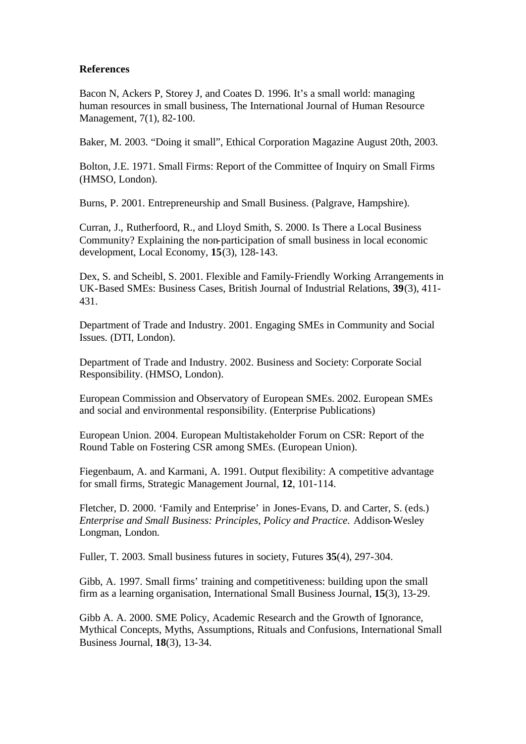#### **References**

Bacon N, Ackers P, Storey J, and Coates D. 1996. It's a small world: managing human resources in small business, The International Journal of Human Resource Management, 7(1), 82-100.

Baker, M. 2003. "Doing it small", Ethical Corporation Magazine August 20th, 2003.

Bolton, J.E. 1971. Small Firms: Report of the Committee of Inquiry on Small Firms (HMSO, London).

Burns, P. 2001. Entrepreneurship and Small Business. (Palgrave, Hampshire).

Curran, J., Rutherfoord, R., and Lloyd Smith, S. 2000. Is There a Local Business Community? Explaining the non-participation of small business in local economic development, Local Economy, **15**(3), 128-143.

Dex, S. and Scheibl, S. 2001. Flexible and Family-Friendly Working Arrangements in UK-Based SMEs: Business Cases, British Journal of Industrial Relations, **39**(3), 411- 431.

Department of Trade and Industry. 2001. Engaging SMEs in Community and Social Issues. (DTI, London).

Department of Trade and Industry. 2002. Business and Society: Corporate Social Responsibility. (HMSO, London).

European Commission and Observatory of European SMEs. 2002. European SMEs and social and environmental responsibility. (Enterprise Publications)

European Union. 2004. European Multistakeholder Forum on CSR: Report of the Round Table on Fostering CSR among SMEs. (European Union).

Fiegenbaum, A. and Karmani, A. 1991. Output flexibility: A competitive advantage for small firms, Strategic Management Journal, **12**, 101-114.

Fletcher, D. 2000. 'Family and Enterprise' in Jones-Evans, D. and Carter, S. (eds.) *Enterprise and Small Business: Principles, Policy and Practice*. Addison-Wesley Longman, London.

Fuller, T. 2003. Small business futures in society, Futures **35**(4), 297-304.

Gibb, A. 1997. Small firms' training and competitiveness: building upon the small firm as a learning organisation, International Small Business Journal, **15**(3), 13-29.

Gibb A. A. 2000. SME Policy, Academic Research and the Growth of Ignorance, Mythical Concepts, Myths, Assumptions, Rituals and Confusions, International Small Business Journal, **18**(3), 13-34.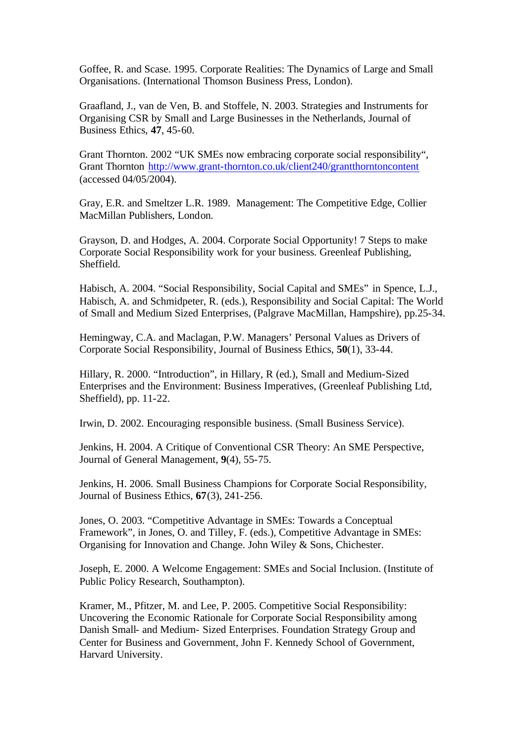Goffee, R. and Scase. 1995. Corporate Realities: The Dynamics of Large and Small Organisations. (International Thomson Business Press, London).

Graafland, J., van de Ven, B. and Stoffele, N. 2003. Strategies and Instruments for Organising CSR by Small and Large Businesses in the Netherlands, Journal of Business Ethics, **47**, 45-60.

Grant Thornton. 2002 "UK SMEs now embracing corporate social responsibility", Grant Thornton http://www.grant-thornton.co.uk/client240/grantthorntoncontent (accessed 04/05/2004).

Gray, E.R. and Smeltzer L.R. 1989. Management: The Competitive Edge, Collier MacMillan Publishers, London.

Grayson, D. and Hodges, A. 2004. Corporate Social Opportunity! 7 Steps to make Corporate Social Responsibility work for your business. Greenleaf Publishing, Sheffield.

Habisch, A. 2004. "Social Responsibility, Social Capital and SMEs" in Spence, L.J., Habisch, A. and Schmidpeter, R. (eds.), Responsibility and Social Capital: The World of Small and Medium Sized Enterprises, (Palgrave MacMillan, Hampshire), pp.25-34.

Hemingway, C.A. and Maclagan, P.W. Managers' Personal Values as Drivers of Corporate Social Responsibility, Journal of Business Ethics, **50**(1), 33-44.

Hillary, R. 2000. "Introduction", in Hillary, R (ed.), Small and Medium-Sized Enterprises and the Environment: Business Imperatives, (Greenleaf Publishing Ltd, Sheffield), pp. 11-22.

Irwin, D. 2002. Encouraging responsible business. (Small Business Service).

Jenkins, H. 2004. A Critique of Conventional CSR Theory: An SME Perspective, Journal of General Management, **9**(4), 55-75.

Jenkins, H. 2006. Small Business Champions for Corporate Social Responsibility, Journal of Business Ethics, **67**(3), 241-256.

Jones, O. 2003. "Competitive Advantage in SMEs: Towards a Conceptual Framework", in Jones, O. and Tilley, F. (eds.), Competitive Advantage in SMEs: Organising for Innovation and Change. John Wiley & Sons, Chichester.

Joseph, E. 2000. A Welcome Engagement: SMEs and Social Inclusion. (Institute of Public Policy Research, Southampton).

Kramer, M., Pfitzer, M. and Lee, P. 2005. Competitive Social Responsibility: Uncovering the Economic Rationale for Corporate Social Responsibility among Danish Small- and Medium- Sized Enterprises. Foundation Strategy Group and Center for Business and Government, John F. Kennedy School of Government, Harvard University.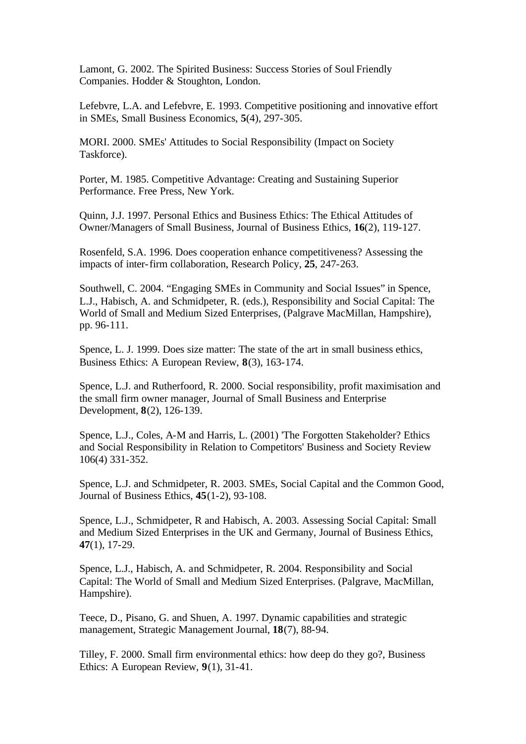Lamont, G. 2002. The Spirited Business: Success Stories of Soul Friendly Companies. Hodder & Stoughton, London.

Lefebvre, L.A. and Lefebvre, E. 1993. Competitive positioning and innovative effort in SMEs, Small Business Economics, **5**(4), 297-305.

MORI. 2000. SMEs' Attitudes to Social Responsibility (Impact on Society Taskforce).

Porter, M. 1985. Competitive Advantage: Creating and Sustaining Superior Performance. Free Press, New York.

Quinn, J.J. 1997. Personal Ethics and Business Ethics: The Ethical Attitudes of Owner/Managers of Small Business, Journal of Business Ethics, **16**(2), 119-127.

Rosenfeld, S.A. 1996. Does cooperation enhance competitiveness? Assessing the impacts of inter-firm collaboration, Research Policy, **25**, 247-263.

Southwell, C. 2004. "Engaging SMEs in Community and Social Issues" in Spence, L.J., Habisch, A. and Schmidpeter, R. (eds.), Responsibility and Social Capital: The World of Small and Medium Sized Enterprises, (Palgrave MacMillan, Hampshire), pp. 96-111.

Spence, L. J. 1999. Does size matter: The state of the art in small business ethics, Business Ethics: A European Review, **8**(3), 163-174.

Spence, L.J. and Rutherfoord, R. 2000. Social responsibility, profit maximisation and the small firm owner manager, Journal of Small Business and Enterprise Development, **8**(2), 126-139.

Spence, L.J., Coles, A-M and Harris, L. (2001) 'The Forgotten Stakeholder? Ethics and Social Responsibility in Relation to Competitors' Business and Society Review 106(4) 331-352.

Spence, L.J. and Schmidpeter, R. 2003. SMEs, Social Capital and the Common Good, Journal of Business Ethics, **45**(1-2), 93-108.

Spence, L.J., Schmidpeter, R and Habisch, A. 2003. Assessing Social Capital: Small and Medium Sized Enterprises in the UK and Germany, Journal of Business Ethics, **47**(1), 17-29.

Spence, L.J., Habisch, A. and Schmidpeter, R. 2004. Responsibility and Social Capital: The World of Small and Medium Sized Enterprises. (Palgrave, MacMillan, Hampshire).

Teece, D., Pisano, G. and Shuen, A. 1997. Dynamic capabilities and strategic management, Strategic Management Journal, **18**(7), 88-94.

Tilley, F. 2000. Small firm environmental ethics: how deep do they go?, Business Ethics: A European Review, **9**(1), 31-41.